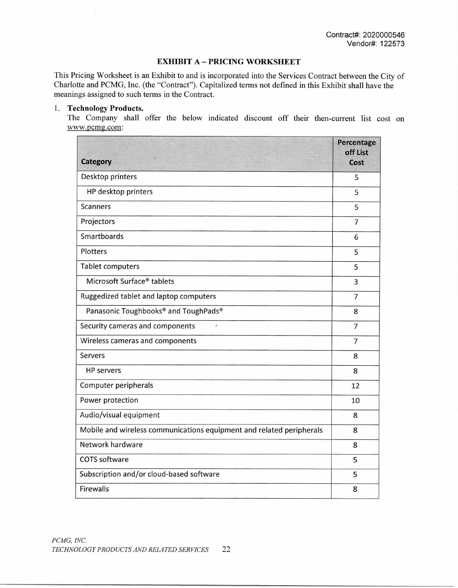#### **EXHIBIT A — PRICING WORKSHEET**

This Pricing Worksheet is an Exhibit to and is incorporated into the Services Contract between the City of Charlotte and PCMG, Inc. (the "Contract"). Capitalized terms not defined in this Exhibit shall have the meanings assigned to such terms in the Contract.

#### 1. **Technology Products.**

The Company shall offer the below indicated discount off their then-current list cost on www.pcmg.com:

| <b>Category</b>                                                      | Percentage<br>off List<br>Cost |
|----------------------------------------------------------------------|--------------------------------|
| Desktop printers                                                     | 5                              |
| HP desktop printers                                                  | 5                              |
| <b>Scanners</b>                                                      | 5                              |
| Projectors                                                           | $\overline{7}$                 |
| Smartboards                                                          | 6                              |
| Plotters                                                             | 5                              |
| <b>Tablet computers</b>                                              | 5                              |
| Microsoft Surface® tablets                                           | 3                              |
| Ruggedized tablet and laptop computers                               | 7                              |
| Panasonic Toughbooks® and ToughPads®                                 | 8                              |
| Security cameras and components                                      | 7                              |
| Wireless cameras and components                                      | $\overline{7}$                 |
| Servers                                                              | 8                              |
| <b>HP</b> servers                                                    | 8                              |
| Computer peripherals                                                 | 12                             |
| Power protection                                                     | 10                             |
| Audio/visual equipment                                               | 8                              |
| Mobile and wireless communications equipment and related peripherals | 8                              |
| Network hardware                                                     | 8                              |
| <b>COTS</b> software                                                 | 5                              |
| Subscription and/or cloud-based software                             | 5                              |
| <b>Firewalls</b>                                                     | 8                              |